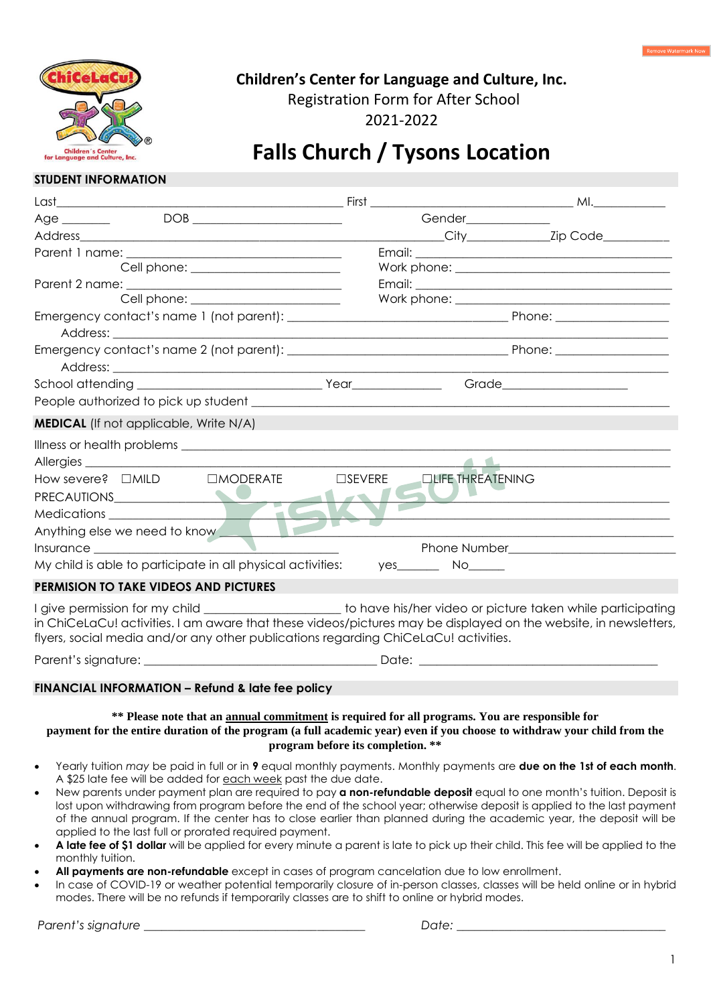

# **Children's Center for Language and Culture, Inc.**

Registration Form for After School

2021-2022

# **Falls Church / Tysons Location**

### **STUDENT INFORMATION**

| $DOB$<br>Age                                                                                                                                                                                                                                                                                                               |                  | Gender_____________      |                                                                                                                       |
|----------------------------------------------------------------------------------------------------------------------------------------------------------------------------------------------------------------------------------------------------------------------------------------------------------------------------|------------------|--------------------------|-----------------------------------------------------------------------------------------------------------------------|
|                                                                                                                                                                                                                                                                                                                            |                  |                          |                                                                                                                       |
|                                                                                                                                                                                                                                                                                                                            |                  |                          |                                                                                                                       |
| Cell phone: ______________________                                                                                                                                                                                                                                                                                         |                  |                          |                                                                                                                       |
|                                                                                                                                                                                                                                                                                                                            |                  |                          |                                                                                                                       |
| Cell phone: _______________________                                                                                                                                                                                                                                                                                        |                  |                          |                                                                                                                       |
|                                                                                                                                                                                                                                                                                                                            |                  |                          |                                                                                                                       |
|                                                                                                                                                                                                                                                                                                                            |                  |                          |                                                                                                                       |
|                                                                                                                                                                                                                                                                                                                            |                  |                          | Grade________________________                                                                                         |
|                                                                                                                                                                                                                                                                                                                            |                  |                          |                                                                                                                       |
| <b>MEDICAL</b> (If not applicable, Write N/A)                                                                                                                                                                                                                                                                              |                  |                          |                                                                                                                       |
|                                                                                                                                                                                                                                                                                                                            |                  |                          |                                                                                                                       |
|                                                                                                                                                                                                                                                                                                                            |                  |                          |                                                                                                                       |
| PRECAUTIONS <b>And the contract of the contract of the contract of the contract of the contract of the contract of the contract of the contract of the contract of the contract of the contract of the contract of the contract </b>                                                                                       | $\square$ SEVERE | <b>ELIFE THREATENING</b> |                                                                                                                       |
| Anything else we need to know                                                                                                                                                                                                                                                                                              |                  |                          | <u> 1989 - Johann John Stone, mensk politik en oantal fan de oarste fan de oarste fan de oarste fan de oarste fan</u> |
|                                                                                                                                                                                                                                                                                                                            |                  |                          | <u> 1989 - Johann Barbara, martin da kasar Amerikaan kasar dan bahasa dalam kasar dalam kasar dalam kasar dalam </u>  |
| My child is able to participate in all physical activities:                                                                                                                                                                                                                                                                |                  | $yes$ No $\sim$          |                                                                                                                       |
| PERMISION TO TAKE VIDEOS AND PICTURES                                                                                                                                                                                                                                                                                      |                  |                          |                                                                                                                       |
| I give permission for my child _____________________ to have his/her video or picture taken while participating<br>in ChiCeLaCu! activities. I am aware that these videos/pictures may be displayed on the website, in newsletters,<br>flyers, social media and/or any other publications regarding ChiCeLaCu! activities. |                  |                          |                                                                                                                       |

## **FINANCIAL INFORMATION – Refund & late fee policy**

Parent's signature: \_\_\_\_\_\_\_\_\_\_\_\_\_\_\_\_\_\_\_\_\_\_\_\_\_\_\_\_\_\_\_\_\_\_\_\_\_\_\_ Date: \_\_\_\_\_\_\_\_\_\_\_\_\_\_\_\_\_\_\_\_\_\_\_\_\_\_\_\_\_\_\_\_\_\_\_\_\_\_\_\_

### **\*\* Please note that an annual commitment is required for all programs. You are responsible for**

**payment for the entire duration of the program (a full academic year) even if you choose to withdraw your child from the program before its completion. \*\***

- Yearly tuition *may* be paid in full or in **9** equal monthly payments. Monthly payments are **due on the 1st of each month**. A \$25 late fee will be added for each week past the due date.
- New parents under payment plan are required to pay **a non-refundable deposit** equal to one month's tuition. Deposit is lost upon withdrawing from program before the end of the school year; otherwise deposit is applied to the last payment of the annual program. If the center has to close earlier than planned during the academic year, the deposit will be applied to the last full or prorated required payment.
- **A late fee of \$1 dollar** will be applied for every minute a parent is late to pick up their child. This fee will be applied to the monthly tuition.
- **All payments are non-refundable** except in cases of program cancelation due to low enrollment.
- In case of COVID-19 or weather potential temporarily closure of in-person classes, classes will be held online or in hybrid modes. There will be no refunds if temporarily classes are to shift to online or hybrid modes.

*Parent's signature \_\_\_\_\_\_\_\_\_\_\_\_\_\_\_\_\_\_\_\_\_\_\_\_\_\_\_\_\_\_\_\_\_\_\_\_\_ Date: \_\_\_\_\_\_\_\_\_\_\_\_\_\_\_\_\_\_\_\_\_\_\_\_\_\_\_\_\_\_\_\_\_\_\_*